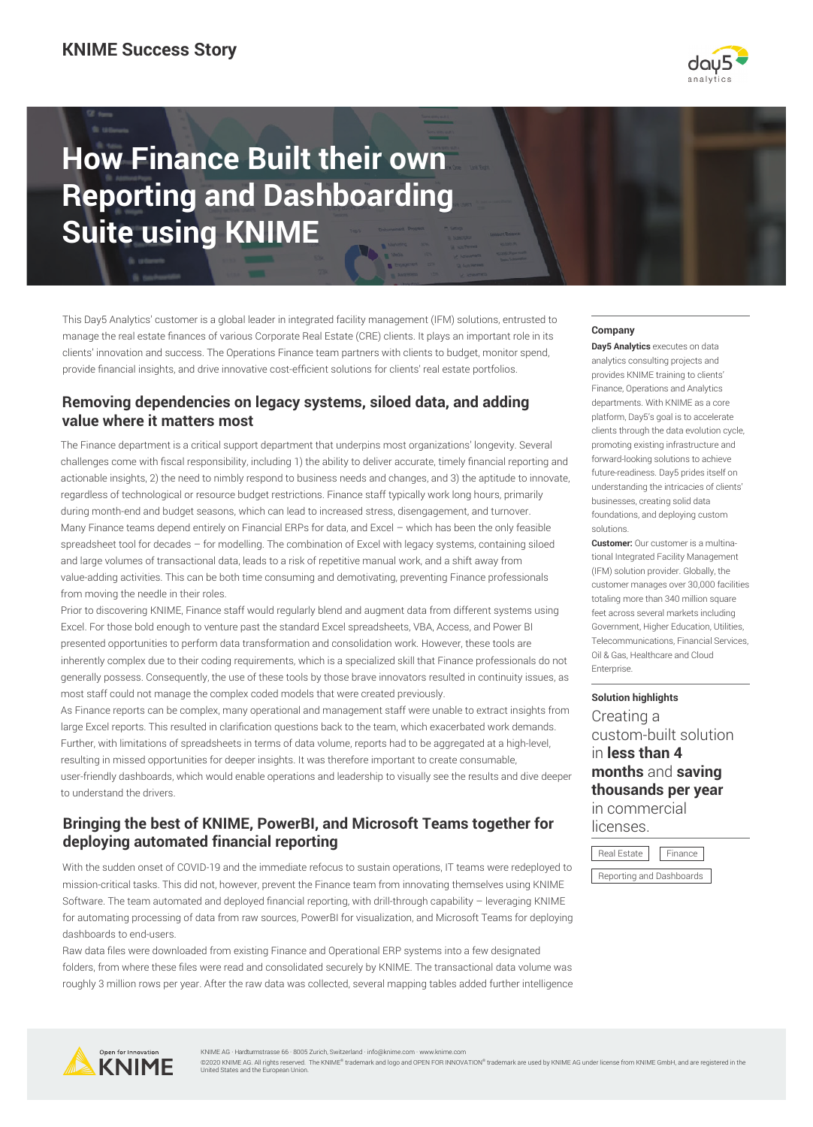

# **How Finance Built their own Reporting and Dashboarding Suite using KNIME**

This Day5 Analytics' customer is a global leader in integrated facility management (IFM) solutions, entrusted to manage the real estate finances of various Corporate Real Estate (CRE) clients. It plays an important role in its clients' innovation and success. The Operations Finance team partners with clients to budget, monitor spend, provide financial insights, and drive innovative cost-efficient solutions for clients' real estate portfolios.

## **Removing dependencies on legacy systems, siloed data, and adding value where it matters most**

The Finance department is a critical support department that underpins most organizations' longevity. Several challenges come with fiscal responsibility, including 1) the ability to deliver accurate, timely financial reporting and actionable insights, 2) the need to nimbly respond to business needs and changes, and 3) the aptitude to innovate, regardless of technological or resource budget restrictions. Finance staff typically work long hours, primarily during month-end and budget seasons, which can lead to increased stress, disengagement, and turnover. Many Finance teams depend entirely on Financial ERPs for data, and Excel – which has been the only feasible spreadsheet tool for decades – for modelling. The combination of Excel with legacy systems, containing siloed and large volumes of transactional data, leads to a risk of repetitive manual work, and a shift away from value-adding activities. This can be both time consuming and demotivating, preventing Finance professionals from moving the needle in their roles.

Prior to discovering KNIME, Finance staff would regularly blend and augment data from different systems using Excel. For those bold enough to venture past the standard Excel spreadsheets, VBA, Access, and Power BI presented opportunities to perform data transformation and consolidation work. However, these tools are inherently complex due to their coding requirements, which is a specialized skill that Finance professionals do not generally possess. Consequently, the use of these tools by those brave innovators resulted in continuity issues, as most staff could not manage the complex coded models that were created previously.

As Finance reports can be complex, many operational and management staff were unable to extract insights from large Excel reports. This resulted in clarification questions back to the team, which exacerbated work demands. Further, with limitations of spreadsheets in terms of data volume, reports had to be aggregated at a high-level, resulting in missed opportunities for deeper insights. It was therefore important to create consumable, user-friendly dashboards, which would enable operations and leadership to visually see the results and dive deeper to understand the drivers.

## **Bringing the best of KNIME, PowerBI, and Microsoft Teams together for deploying automated financial reporting**

With the sudden onset of COVID-19 and the immediate refocus to sustain operations, IT teams were redeployed to mission-critical tasks. This did not, however, prevent the Finance team from innovating themselves using KNIME Software. The team automated and deployed financial reporting, with drill-through capability – leveraging KNIME for automating processing of data from raw sources, PowerBI for visualization, and Microsoft Teams for deploying dashboards to end-users.

Raw data files were downloaded from existing Finance and Operational ERP systems into a few designated folders, from where these files were read and consolidated securely by KNIME. The transactional data volume was roughly 3 million rows per year. After the raw data was collected, several mapping tables added further intelligence

### **Company**

**Day5 Analytics** executes on data analytics consulting projects and provides KNIME training to clients' Finance, Operations and Analytics departments. With KNIME as a core platform, Day5's goal is to accelerate clients through the data evolution cycle, promoting existing infrastructure and forward-looking solutions to achieve future-readiness. Day5 prides itself on understanding the intricacies of clients' businesses, creating solid data foundations, and deploying custom solutions.

**Customer:** Our customer is a multinational Integrated Facility Management (IFM) solution provider. Globally, the customer manages over 30,000 facilities totaling more than 340 million square feet across several markets including Government, Higher Education, Utilities, Telecommunications, Financial Services, Oil & Gas, Healthcare and Cloud **Enterprise** 

#### **Solution highlights**

Creating a custom-built solution in **less than 4 months** and **saving thousands per year** in commercial licenses.





KNIME AG · Hardturmstrasse 66 · 8005 Zurich, Switzerland · info@knime.com · w

©2020 KNIME AG. All rights reserved. The KNIME® trademark and logo and OPEN FOR INNOVATION® trademark are used by KNIME AG under license from KNIME GmbH, and are registered in the<br>United States and the European Union.